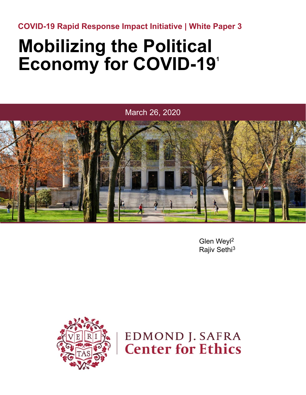**COVID-19 Rapid Response Impact Initiative | White Paper 3**

### **Mobilizing the Political Economy for COVID-191**

March 26, 2020



Glen Weyl2 Rajiv Sethi3



**EDMOND J. SAFRA Center for Ethics**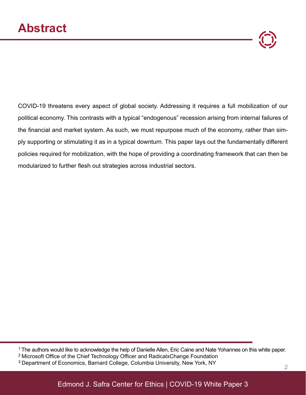

COVID-19 threatens every aspect of global society. Addressing it requires a full mobilization of our political economy. This contrasts with a typical "endogenous" recession arising from internal failures of the financial and market system. As such, we must repurpose much of the economy, rather than simply supporting or stimulating it as in a typical downturn. This paper lays out the fundamentally different policies required for mobilization, with the hope of providing a coordinating framework that can then be modularized to further flesh out strategies across industrial sectors.

<sup>1</sup> The authors would like to acknowledge the help of Danielle Allen, Eric Caine and Nate Yohannes on this white paper.

<sup>2</sup>Microsoft Office of the Chief Technology Officer and RadicalxChange Foundation

<sup>&</sup>lt;sup>3</sup> Department of Economics, Barnard College, Columbia University, New York, NY 22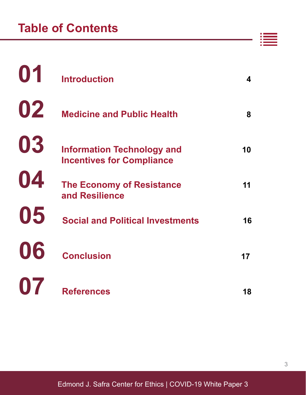| 01 | <b>Introduction</b>                                                   | 4  |
|----|-----------------------------------------------------------------------|----|
| 02 | <b>Medicine and Public Health</b>                                     | 8  |
| 03 | <b>Information Technology and</b><br><b>Incentives for Compliance</b> | 10 |
| 04 | <b>The Economy of Resistance</b><br>and Resilience                    | 11 |
| 05 | <b>Social and Political Investments</b>                               | 16 |
| 06 | <b>Conclusion</b>                                                     | 17 |
| 07 | <b>References</b>                                                     | 18 |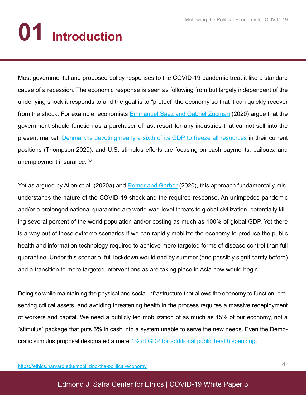# **01 Introduction**

Most governmental and proposed policy responses to the COVID-19 pandemic treat it like a standard cause of a recession. The economic response is seen as following from but largely independent of the underlying shock it responds to and the goal is to "protect" the economy so that it can quickly recover from the shock. For example, economists **Emmanuel Saez and Gabriel Zucman** (2020) argue that the government should function as a purchaser of last resort for any industries that cannot sell into the present market, Denmark is devoting nearly a sixth of its GDP to freeze all resources in their current positions (Thompson 2020), and U.S. stimulus efforts are focusing on cash payments, bailouts, and unemployment insurance. Y

Yet as argued by Allen et al. (2020a) and Romer and Garber (2020), this approach fundamentally misunderstands the nature of the COVID-19 shock and the required response. An unimpeded pandemic and/or a prolonged national quarantine are world-war–level threats to global civilization, potentially killing several percent of the world population and/or costing as much as 100% of global GDP. Yet there is a way out of these extreme scenarios if we can rapidly mobilize the economy to produce the public health and information technology required to achieve more targeted forms of disease control than full quarantine. Under this scenario, full lockdown would end by summer (and possibly significantly before) and a transition to more targeted interventions as are taking place in Asia now would begin.

Doing so while maintaining the physical and social infrastructure that allows the economy to function, preserving critical assets, and avoiding threatening health in the process requires a massive redeployment of workers and capital. We need a publicly led mobilization of as much as 15% of our economy, not a "stimulus" package that puts 5% in cash into a system unable to serve the new needs. Even the Democratic stimulus proposal designated a mere 1% of GDP for additional public health spending.

https://ethics.harvard.edu/mobilizing-the-political-economy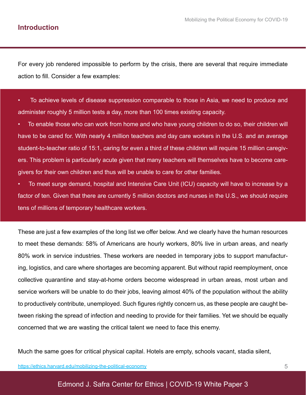#### **Introduction**

For every job rendered impossible to perform by the crisis, there are several that require immediate action to fill. Consider a few examples:

• To achieve levels of disease suppression comparable to those in Asia, we need to produce and administer roughly 5 million tests a day, more than 100 times existing capacity.

• To enable those who can work from home and who have young children to do so, their children will have to be cared for. With nearly 4 million teachers and day care workers in the U.S. and an average student-to-teacher ratio of 15:1, caring for even a third of these children will require 15 million caregivers. This problem is particularly acute given that many teachers will themselves have to become caregivers for their own children and thus will be unable to care for other families.

• To meet surge demand, hospital and Intensive Care Unit (ICU) capacity will have to increase by a factor of ten. Given that there are currently 5 million doctors and nurses in the U.S., we should require tens of millions of temporary healthcare workers.

These are just a few examples of the long list we offer below. And we clearly have the human resources to meet these demands: 58% of Americans are hourly workers, 80% live in urban areas, and nearly 80% work in service industries. These workers are needed in temporary jobs to support manufacturing, logistics, and care where shortages are becoming apparent. But without rapid reemployment, once collective quarantine and stay-at-home orders become widespread in urban areas, most urban and service workers will be unable to do their jobs, leaving almost 40% of the population without the ability to productively contribute, unemployed. Such figures rightly concern us, as these people are caught between risking the spread of infection and needing to provide for their families. Yet we should be equally concerned that we are wasting the critical talent we need to face this enemy.

Much the same goes for critical physical capital. Hotels are empty, schools vacant, stadia silent,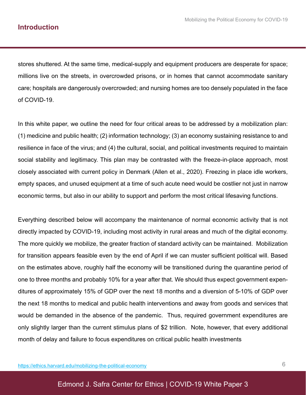#### **Introduction**

stores shuttered. At the same time, medical-supply and equipment producers are desperate for space; millions live on the streets, in overcrowded prisons, or in homes that cannot accommodate sanitary care; hospitals are dangerously overcrowded; and nursing homes are too densely populated in the face of COVID-19.

In this white paper, we outline the need for four critical areas to be addressed by a mobilization plan: (1) medicine and public health; (2) information technology; (3) an economy sustaining resistance to and resilience in face of the virus; and (4) the cultural, social, and political investments required to maintain social stability and legitimacy. This plan may be contrasted with the freeze-in-place approach, most closely associated with current policy in Denmark (Allen et al., 2020). Freezing in place idle workers, empty spaces, and unused equipment at a time of such acute need would be costlier not just in narrow economic terms, but also in our ability to support and perform the most critical lifesaving functions.

Everything described below will accompany the maintenance of normal economic activity that is not directly impacted by COVID-19, including most activity in rural areas and much of the digital economy. The more quickly we mobilize, the greater fraction of standard activity can be maintained. Mobilization for transition appears feasible even by the end of April if we can muster sufficient political will. Based on the estimates above, roughly half the economy will be transitioned during the quarantine period of one to three months and probably 10% for a year after that. We should thus expect government expenditures of approximately 15% of GDP over the next 18 months and a diversion of 5-10% of GDP over the next 18 months to medical and public health interventions and away from goods and services that would be demanded in the absence of the pandemic. Thus, required government expenditures are only slightly larger than the current stimulus plans of \$2 trillion. Note, however, that every additional month of delay and failure to focus expenditures on critical public health investments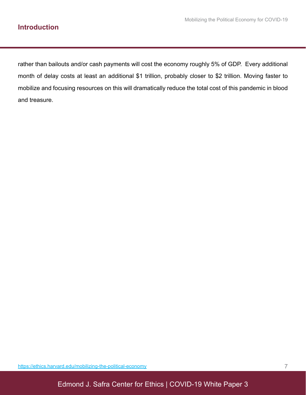rather than bailouts and/or cash payments will cost the economy roughly 5% of GDP. Every additional month of delay costs at least an additional \$1 trillion, probably closer to \$2 trillion. Moving faster to mobilize and focusing resources on this will dramatically reduce the total cost of this pandemic in blood and treasure.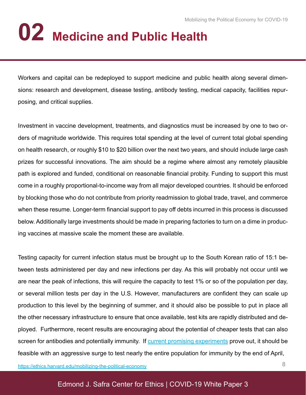# **02 Medicine and Public Health**

Workers and capital can be redeployed to support medicine and public health along several dimensions: research and development, disease testing, antibody testing, medical capacity, facilities repurposing, and critical supplies.

Investment in vaccine development, treatments, and diagnostics must be increased by one to two orders of magnitude worldwide. This requires total spending at the level of current total global spending on health research, or roughly \$10 to \$20 billion over the next two years, and should include large cash prizes for successful innovations. The aim should be a regime where almost any remotely plausible path is explored and funded, conditional on reasonable financial probity. Funding to support this must come in a roughly proportional-to-income way from all major developed countries. It should be enforced by blocking those who do not contribute from priority readmission to global trade, travel, and commerce when these resume. Longer-term financial support to pay off debts incurred in this process is discussed below. Additionally large investments should be made in preparing factories to turn on a dime in producing vaccines at massive scale the moment these are available.

Testing capacity for current infection status must be brought up to the South Korean ratio of 15:1 between tests administered per day and new infections per day. As this will probably not occur until we are near the peak of infections, this will require the capacity to test 1% or so of the population per day, or several million tests per day in the U.S. However, manufacturers are confident they can scale up production to this level by the beginning of summer, and it should also be possible to put in place all the other necessary infrastructure to ensure that once available, test kits are rapidly distributed and deployed. Furthermore, recent results are encouraging about the potential of cheaper tests that can also screen for antibodies and potentially immunity. If current promising experiments prove out, it should be feasible with an aggressive surge to test nearly the entire population for immunity by the end of April,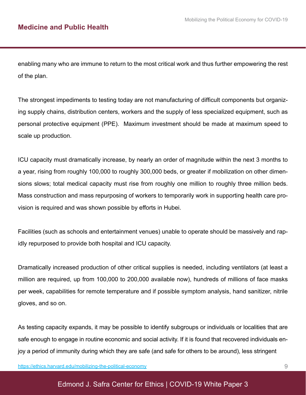enabling many who are immune to return to the most critical work and thus further empowering the rest of the plan.

The strongest impediments to testing today are not manufacturing of difficult components but organizing supply chains, distribution centers, workers and the supply of less specialized equipment, such as personal protective equipment (PPE). Maximum investment should be made at maximum speed to scale up production.

ICU capacity must dramatically increase, by nearly an order of magnitude within the next 3 months to a year, rising from roughly 100,000 to roughly 300,000 beds, or greater if mobilization on other dimensions slows; total medical capacity must rise from roughly one million to roughly three million beds. Mass construction and mass repurposing of workers to temporarily work in supporting health care provision is required and was shown possible by efforts in Hubei.

Facilities (such as schools and entertainment venues) unable to operate should be massively and rapidly repurposed to provide both hospital and ICU capacity.

Dramatically increased production of other critical supplies is needed, including ventilators (at least a million are required, up from 100,000 to 200,000 available now), hundreds of millions of face masks per week, capabilities for remote temperature and if possible symptom analysis, hand sanitizer, nitrile gloves, and so on.

As testing capacity expands, it may be possible to identify subgroups or individuals or localities that are safe enough to engage in routine economic and social activity. If it is found that recovered individuals enjoy a period of immunity during which they are safe (and safe for others to be around), less stringent

https://ethics.harvard.edu/mobilizing-the-political-economy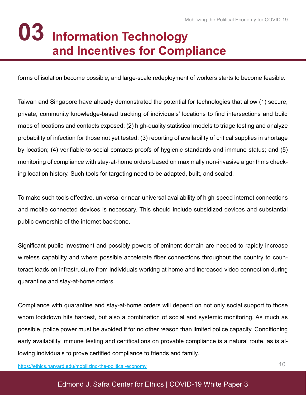### **Information Technology 03 and Incentives for Compliance**

forms of isolation become possible, and large-scale redeployment of workers starts to become feasible.

Taiwan and Singapore have already demonstrated the potential for technologies that allow (1) secure, private, community knowledge-based tracking of individuals' locations to find intersections and build maps of locations and contacts exposed; (2) high-quality statistical models to triage testing and analyze probability of infection for those not yet tested; (3) reporting of availability of critical supplies in shortage by location; (4) verifiable-to-social contacts proofs of hygienic standards and immune status; and (5) monitoring of compliance with stay-at-home orders based on maximally non-invasive algorithms checking location history. Such tools for targeting need to be adapted, built, and scaled.

To make such tools effective, universal or near-universal availability of high-speed internet connections and mobile connected devices is necessary. This should include subsidized devices and substantial public ownership of the internet backbone.

Significant public investment and possibly powers of eminent domain are needed to rapidly increase wireless capability and where possible accelerate fiber connections throughout the country to counteract loads on infrastructure from individuals working at home and increased video connection during quarantine and stay-at-home orders.

Compliance with quarantine and stay-at-home orders will depend on not only social support to those whom lockdown hits hardest, but also a combination of social and systemic monitoring. As much as possible, police power must be avoided if for no other reason than limited police capacity. Conditioning early availability immune testing and certifications on provable compliance is a natural route, as is allowing individuals to prove certified compliance to friends and family.

https://ethics.harvard.edu/mobilizing-the-political-economy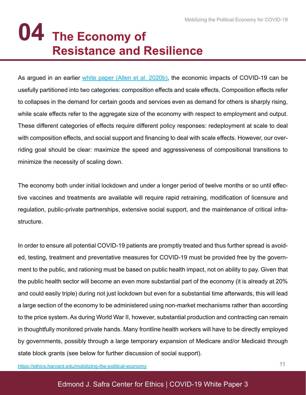### **The Economy of 04 Resistance and Resilience**

As argued in an earlier white paper (Allen et al. 2020b), the economic impacts of COVID-19 can be usefully partitioned into two categories: composition effects and scale effects. Composition effects refer to collapses in the demand for certain goods and services even as demand for others is sharply rising, while scale effects refer to the aggregate size of the economy with respect to employment and output. These different categories of effects require different policy responses: redeployment at scale to deal with composition effects, and social support and financing to deal with scale effects. However, our overriding goal should be clear: maximize the speed and aggressiveness of compositional transitions to minimize the necessity of scaling down.

The economy both under initial lockdown and under a longer period of twelve months or so until effective vaccines and treatments are available will require rapid retraining, modification of licensure and regulation, public-private partnerships, extensive social support, and the maintenance of critical infrastructure.

In order to ensure all potential COVID-19 patients are promptly treated and thus further spread is avoided, testing, treatment and preventative measures for COVID-19 must be provided free by the government to the public, and rationing must be based on public health impact, not on ability to pay. Given that the public health sector will become an even more substantial part of the economy (it is already at 20% and could easily triple) during not just lockdown but even for a substantial time afterwards, this will lead a large section of the economy to be administered using non-market mechanisms rather than according to the price system. As during World War II, however, substantial production and contracting can remain in thoughtfully monitored private hands. Many frontline health workers will have to be directly employed by governments, possibly through a large temporary expansion of Medicare and/or Medicaid through state block grants (see below for further discussion of social support).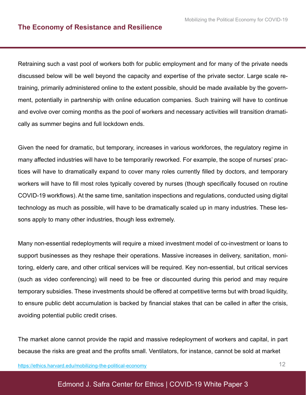Retraining such a vast pool of workers both for public employment and for many of the private needs discussed below will be well beyond the capacity and expertise of the private sector. Large scale retraining, primarily administered online to the extent possible, should be made available by the government, potentially in partnership with online education companies. Such training will have to continue and evolve over coming months as the pool of workers and necessary activities will transition dramatically as summer begins and full lockdown ends.

Given the need for dramatic, but temporary, increases in various workforces, the regulatory regime in many affected industries will have to be temporarily reworked. For example, the scope of nurses' practices will have to dramatically expand to cover many roles currently filled by doctors, and temporary workers will have to fill most roles typically covered by nurses (though specifically focused on routine COVID-19 workflows). At the same time, sanitation inspections and regulations, conducted using digital technology as much as possible, will have to be dramatically scaled up in many industries. These lessons apply to many other industries, though less extremely.

Many non-essential redeployments will require a mixed investment model of co-investment or loans to support businesses as they reshape their operations. Massive increases in delivery, sanitation, monitoring, elderly care, and other critical services will be required. Key non-essential, but critical services (such as video conferencing) will need to be free or discounted during this period and may require temporary subsidies. These investments should be offered at competitive terms but with broad liquidity, to ensure public debt accumulation is backed by financial stakes that can be called in after the crisis, avoiding potential public credit crises.

The market alone cannot provide the rapid and massive redeployment of workers and capital, in part because the risks are great and the profits small. Ventilators, for instance, cannot be sold at market

https://ethics.harvard.edu/mobilizing-the-political-economy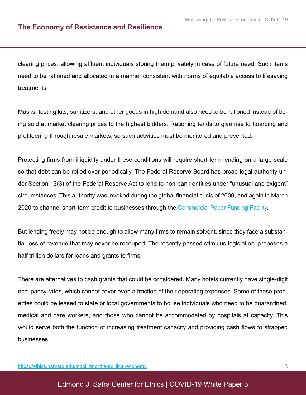clearing prices, allowing affluent individuals storing them privately in case of future need. Such items need to be rationed and allocated in a manner consistent with norms of equitable access to lifesaving treatments.

Masks, testing kits, sanitizers, and other goods in high demand also need to be rationed instead of being sold at market clearing prices to the highest bidders. Rationing tends to give rise to hoarding and profiteering through resale markets, so such activities must be monitored and prevented.

Protecting firms from illiquidity under these conditions will require short-term lending on a large scale so that debt can be rolled over periodically. The Federal Reserve Board has broad legal authority under Section 13(3) of the Federal Reserve Act to lend to non-bank entities under "unusual and exigent" circumstances. This authority was invoked during the global financial crisis of 2008, and again in March 2020 to channel short-term credit to businesses through the Commercial Paper Funding Facility.

But lending freely may not be enough to allow many firms to remain solvent, since they face a substantial loss of revenue that may never be recouped. The recently passed stimulus legislation proposes a half trillion dollars for loans and grants to firms.

There are alternatives to cash grants that could be considered. Many hotels currently have single-digit occupancy rates, which cannot cover even a fraction of their operating expenses. Some of these properties could be leased to state or local governments to house individuals who need to be quarantined, medical and care workers, and those who cannot be accommodated by hospitals at capacity. This would serve both the function of increasing treatment capacity and providing cash flows to strapped businesses.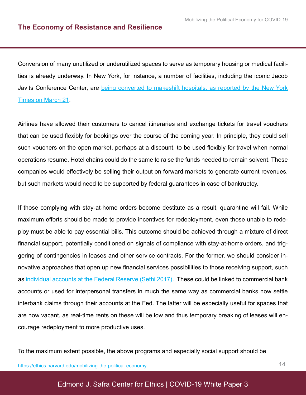Conversion of many unutilized or underutilized spaces to serve as temporary housing or medical facilities is already underway. In New York, for instance, a number of facilities, including the iconic Jacob Javits Conference Center, are being converted to makeshift hospitals, as reported by the New York Times on March 21.

Airlines have allowed their customers to cancel itineraries and exchange tickets for travel vouchers that can be used flexibly for bookings over the course of the coming year. In principle, they could sell such vouchers on the open market, perhaps at a discount, to be used flexibly for travel when normal operations resume. Hotel chains could do the same to raise the funds needed to remain solvent. These companies would effectively be selling their output on forward markets to generate current revenues, but such markets would need to be supported by federal guarantees in case of bankruptcy.

If those complying with stay-at-home orders become destitute as a result, quarantine will fail. While maximum efforts should be made to provide incentives for redeployment, even those unable to redeploy must be able to pay essential bills. This outcome should be achieved through a mixture of direct financial support, potentially conditioned on signals of compliance with stay-at-home orders, and triggering of contingencies in leases and other service contracts. For the former, we should consider innovative approaches that open up new financial services possibilities to those receiving support, such as individual accounts at the Federal Reserve (Sethi 2017). These could be linked to commercial bank accounts or used for interpersonal transfers in much the same way as commercial banks now settle interbank claims through their accounts at the Fed. The latter will be especially useful for spaces that are now vacant, as real-time rents on these will be low and thus temporary breaking of leases will encourage redeployment to more productive uses.

To the maximum extent possible, the above programs and especially social support should be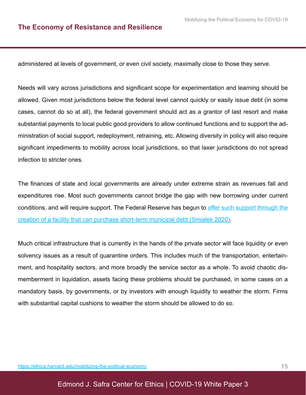administered at levels of government, or even civil society, maximally close to those they serve.

Needs will vary across jurisdictions and significant scope for experimentation and learning should be allowed. Given most jurisdictions below the federal level cannot quickly or easily issue debt (in some cases, cannot do so at all), the federal government should act as a grantor of last resort and make substantial payments to local public good providers to allow continued functions and to support the administration of social support, redeployment, retraining, etc. Allowing diversity in policy will also require significant impediments to mobility across local jurisdictions, so that laxer jurisdictions do not spread infection to stricter ones.

The finances of state and local governments are already under extreme strain as revenues fall and expenditures rise. Most such governments cannot bridge the gap with new borrowing under current conditions, and will require support. The Federal Reserve has begun to offer such support through the creation of a facility that can purchase short-term municipal debt (Smialek 2020).

Much critical infrastructure that is currently in the hands of the private sector will face liquidity or even solvency issues as a result of quarantine orders. This includes much of the transportation, entertainment, and hospitality sectors, and more broadly the service sector as a whole. To avoid chaotic dismemberment in liquidation, assets facing these problems should be purchased, in some cases on a mandatory basis, by governments, or by investors with enough liquidity to weather the storm. Firms with substantial capital cushions to weather the storm should be allowed to do so.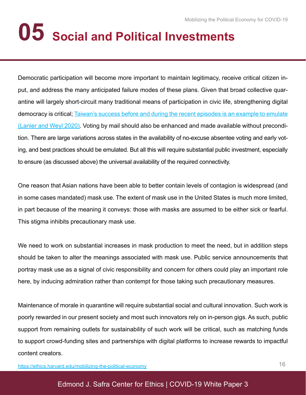## **05 Social and Political Investments**

Democratic participation will become more important to maintain legitimacy, receive critical citizen input, and address the many anticipated failure modes of these plans. Given that broad collective quarantine will largely short-circuit many traditional means of participation in civic life, strengthening digital democracy is critical; Taiwan's success before and during the recent episodes is an example to emulate (Lanier and Weyl 2020). Voting by mail should also be enhanced and made available without precondition. There are large variations across states in the availability of no-excuse absentee voting and early voting, and best practices should be emulated. But all this will require substantial public investment, especially to ensure (as discussed above) the universal availability of the required connectivity.

One reason that Asian nations have been able to better contain levels of contagion is widespread (and in some cases mandated) mask use. The extent of mask use in the United States is much more limited, in part because of the meaning it conveys: those with masks are assumed to be either sick or fearful. This stigma inhibits precautionary mask use.

We need to work on substantial increases in mask production to meet the need, but in addition steps should be taken to alter the meanings associated with mask use. Public service announcements that portray mask use as a signal of civic responsibility and concern for others could play an important role here, by inducing admiration rather than contempt for those taking such precautionary measures.

Maintenance of morale in quarantine will require substantial social and cultural innovation. Such work is poorly rewarded in our present society and most such innovators rely on in-person gigs. As such, public support from remaining outlets for sustainability of such work will be critical, such as matching funds to support crowd-funding sites and partnerships with digital platforms to increase rewards to impactful content creators.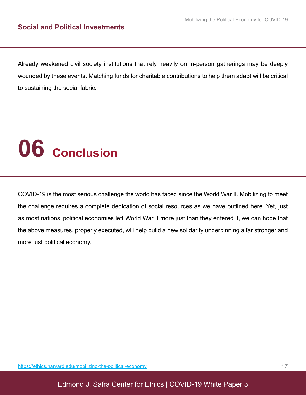Already weakened civil society institutions that rely heavily on in-person gatherings may be deeply wounded by these events. Matching funds for charitable contributions to help them adapt will be critical to sustaining the social fabric.

## **06 Conclusion**

COVID-19 is the most serious challenge the world has faced since the World War II. Mobilizing to meet the challenge requires a complete dedication of social resources as we have outlined here. Yet, just as most nations' political economies left World War II more just than they entered it, we can hope that the above measures, properly executed, will help build a new solidarity underpinning a far stronger and more just political economy.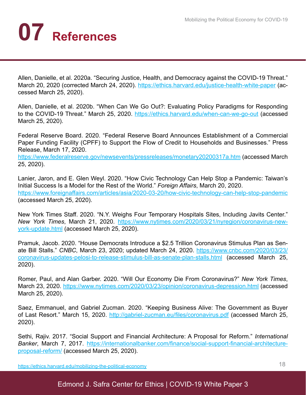## **07 References**

Allen, Danielle, et al. 2020a. "Securing Justice, Health, and Democracy against the COVID-19 Threat." March 20, 2020 (corrected March 24, 2020). https://ethics.harvard.edu/justice-health-white-paper (accessed March 25, 2020).

Allen, Danielle, et al. 2020b. "When Can We Go Out?: Evaluating Policy Paradigms for Responding to the COVID-19 Threat." March 25, 2020. https://ethics.harvard.edu/when-can-we-go-out (accessed March 25, 2020).

Federal Reserve Board. 2020. "Federal Reserve Board Announces Establishment of a Commercial Paper Funding Facility (CPFF) to Support the Flow of Credit to Households and Businesses." Press Release, March 17, 2020.

https://www.federalreserve.gov/newsevents/pressreleases/monetary20200317a.htm (accessed March 25, 2020).

Lanier, Jaron, and E. Glen Weyl. 2020. "How Civic Technology Can Help Stop a Pandemic: Taiwan's Initial Success Is a Model for the Rest of the World." *Foreign Affairs*, March 20, 2020. https://www.foreignaffairs.com/articles/asia/2020-03-20/how-civic-technology-can-help-stop-pandemic (accessed March 25, 2020).

New York Times Staff. 2020. "N.Y. Weighs Four Temporary Hospitals Sites, Including Javits Center." *New York Times*, March 21, 2020. https://www.nytimes.com/2020/03/21/nyregion/coronavirus-newyork-update.html (accessed March 25, 2020).

Pramuk, Jacob. 2020. "House Democrats Introduce a \$2.5 Trillion Coronavirus Stimulus Plan as Senate Bill Stalls." *CNBC*, March 23, 2020; updated March 24, 2020. https://www.cnbc.com/2020/03/23/ coronavirus-updates-pelosi-to-release-stimulus-bill-as-senate-plan-stalls.html (accessed March 25, 2020).

Romer, Paul, and Alan Garber. 2020. "Will Our Economy Die From Coronavirus?" *New York Times*, March 23, 2020. https://www.nytimes.com/2020/03/23/opinion/coronavirus-depression.html (accessed March 25, 2020).

Saez, Emmanuel, and Gabriel Zucman. 2020. "Keeping Business Alive: The Government as Buyer of Last Resort." March 15, 2020. http://gabriel-zucman.eu/files/coronavirus.pdf (accessed March 25, 2020).

Sethi, Rajiv. 2017. "Social Support and Financial Architecture: A Proposal for Reform." *International Banker*, March 7, 2017. https://internationalbanker.com/finance/social-support-financial-architectureproposal-reform/ (accessed March 25, 2020).

https://ethics.harvard.edu/mobilizing-the-political-economy